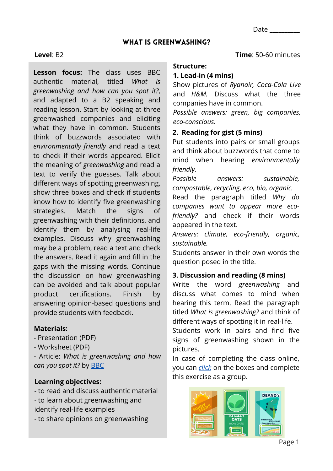Date \_\_\_\_\_\_\_\_\_\_

### WHAT IS GREENWASHING?

### **Level**: B2

**Lesson focus:** The class uses BBC authentic material, titled *What is greenwashing and how can you spot it?*, and adapted to a B2 speaking and reading lesson. Start by looking at three greenwashed companies and eliciting what they have in common. Students think of buzzwords associated with *environmentally friendly* and read a text to check if their words appeared. Elicit the meaning of *greenwashing* and read a text to verify the guesses. Talk about different ways of spotting greenwashing, show three boxes and check if students know how to identify five greenwashing strategies. Match the signs of greenwashing with their definitions, and identify them by analysing real-life examples. Discuss why greenwashing may be a problem, read a text and check the answers. Read it again and fill in the gaps with the missing words. Continue the discussion on how greenwashing can be avoided and talk about popular product certifications. Finish by answering opinion-based questions and provide students with feedback.

## **Materials:**

- Presentation (PDF)
- Worksheet (PDF)

*-* Article: *What is greenwashing and how can you spot it?* by [BBC](https://www.bbc.co.uk/newsround/58465027)

## **Learning objectives:**

- to read and discuss authentic material - to learn about greenwashing and identify real-life examples
- to share opinions on greenwashing

**Time**: 50-60 minutes

#### **Structure:**

### **1. Lead-in (4 mins)**

Show pictures of *Ryanair, Coca-Cola Live* and *H&M.* Discuss what the three companies have in common.

*Possible answers: green, big companies, eco-conscious.*

## **2. Reading for gist (5 mins)**

Put students into pairs or small groups and think about buzzwords that come to mind when hearing *environmentally friendly*.

*Possible answers: sustainable, compostable, recycling, eco, bio, organic.*

Read the paragraph titled *Why do companies want to appear more ecofriendly?* and check if their words appeared in the text.

*Answers: climate, eco-friendly, organic, sustainable.*

Students answer in their own words the question posed in the title.

## **3. Discussion and reading (8 mins)**

Write the word *greenwashing* and discuss what comes to mind when hearing this term. Read the paragraph titled *What is greenwashing?* and think of different ways of spotting it in real-life.

Students work in pairs and find five signs of greenwashing shown in the pictures.

In case of completing the class online, you can *[click](https://www.bbc.co.uk/newsround/58465027)* on the boxes and complete this exercise as a group.